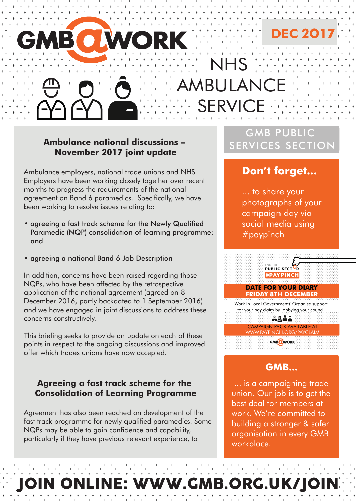# BIO A

#### **Ambulance national discussions – November 2017 joint update**

Ambulance employers, national trade unions and NHS Employers have been working closely together over recent months to progress the requirements of the national agreement on Band 6 paramedics. Specifically, we have been working to resolve issues relating to:

- agreeing a fast track scheme for the Newly Qualified Paramedic (NQP) consolidation of learning programme: and
- agreeing a national Band 6 Job Description

In addition, concerns have been raised regarding those NQPs, who have been affected by the retrospective application of the national agreement (agreed on 8 December 2016, partly backdated to 1 September 2016) and we have engaged in joint discussions to address these concerns constructively.

This briefing seeks to provide an update on each of these points in respect to the ongoing discussions and improved offer which trades unions have now accepted.

#### **Agreeing a fast track scheme for the Consolidation of Learning Programme**

Agreement has also been reached on development of the fast track programme for newly qualified paramedics. Some NQPs may be able to gain confidence and capability, particularly if they have previous relevant experience, to

## GMB PUBLIC SERVICES SECTION

NHS

SERVICE

JI AN

**DEC 2O17**

### **Don't forget...**

... to share your photographs of your campaign day via social media using #paypinch



#### **DATE FOR YOUR DIARY FRIDAY 8TH DECEMBER**

Work in Local Government? Organise support for your pay claim by lobbying your council MAXA

CAMPAIGN PACK AVAILABLE AT WWW.PAYPINCH.ORG/PAYCLAIM GMBOWORK

#### **GMB...**

... is a campaigning trade union. Our job is to get the best deal for members at work. We're committed to building a stronger & safer organisation in every GMB workplace.

# INE: WWW.GMB.ORG.UK/JOIN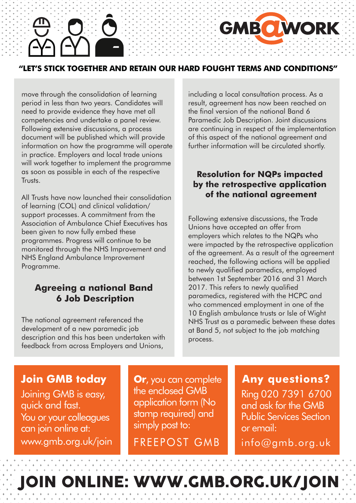#### **"LET'S STICK TOGETHER AND RETAIN OUR HARD FOUGHT TERMS AND CONDITIONS"**

move through the consolidation of learning period in less than two years. Candidates will need to provide evidence they have met all competencies and undertake a panel review. Following extensive discussions, a process document will be published which will provide information on how the programme will operate in practice. Employers and local trade unions will work together to implement the programme as soon as possible in each of the respective Trusts.

All Trusts have now launched their consolidation of learning (COL) and clinical validation/ support processes. A commitment from the Association of Ambulance Chief Executives has been given to now fully embed these programmes. Progress will continue to be monitored through the NHS Improvement and NHS England Ambulance Improvement Programme.

#### **Agreeing a national Band 6 Job Description**

The national agreement referenced the development of a new paramedic job description and this has been undertaken with feedback from across Employers and Unions,

including a local consultation process. As a result, agreement has now been reached on the final version of the national Band 6 Paramedic Job Description. Joint discussions are continuing in respect of the implementation of this aspect of the national agreement and further information will be circulated shortly.

**GMBO WORK** 

#### **Resolution for NQPs impacted by the retrospective application of the national agreement**

Following extensive discussions, the Trade Unions have accepted an offer from employers which relates to the NQPs who were impacted by the retrospective application of the agreement. As a result of the agreement reached, the following actions will be applied to newly qualified paramedics, employed between 1st September 2016 and 31 March 2017. This refers to newly qualified paramedics, registered with the HCPC and who commenced employment in one of the 10 English ambulance trusts or Isle of Wight NHS Trust as a paramedic between these dates at Band 5, not subject to the job matching process.

#### **Join GMB today**

You or your colleagues can join online at: Joining GMB is easy, quick and fast. www.gmb.org.uk/join FREEPOST GMB info@gmb.org.uk

 **Or**, you can complete the enclosed GMB application form (No stamp required) and simply post to:

Ring 020 7391 6700 and ask for the GMB Public Services Section or email: **Any questions?** 

# JOIN ONLINE: WWW.GMB.ORG.UK/JOIN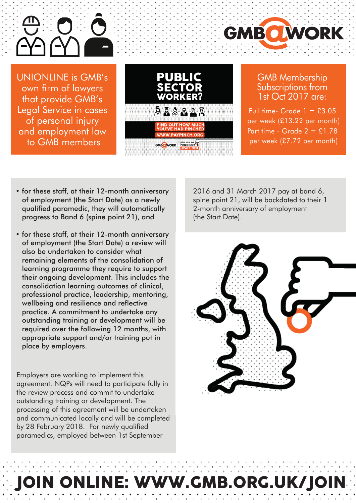

UNIONLINE is GMB's own firm of lawyers that provide GMB's Legal Service in cases of personal injury and employment law to GMB members



#### GMB Membership Subscriptions from 1st Oct 2017 are:

**GMBO WORK** 

Full time- Grade  $1 = £3.05$ per week (£13.22 per month) Part time - Grade  $2 = £1.78$ per week (£7.72 per month)

- for these staff, at their 12-month anniversary of employment (the Start Date) as a newly qualified paramedic, they will automatically progress to Band 6 (spine point 21), and
- for these staff, at their 12-month anniversary of employment (the Start Date) a review will also be undertaken to consider what remaining elements of the consolidation of learning programme they require to support their ongoing development. This includes the consolidation learning outcomes of clinical, professional practice, leadership, mentoring, wellbeing and resilience and reflective practice. A commitment to undertake any outstanding training or development will be required over the following 12 months, with appropriate support and/or training put in place by employers.

Employers are working to implement this agreement. NQPs will need to participate fully in the review process and commit to undertake outstanding training or development. The processing of this agreement will be undertaken and communicated locally and will be completed by 28 February 2018. For newly qualified paramedics, employed between 1st September

2016 and 31 March 2017 pay at band 6, spine point 21, will be backdated to their 1 2-month anniversary of employment (the Start Date).



# VWW.GMB.ORG.UK/JOIN